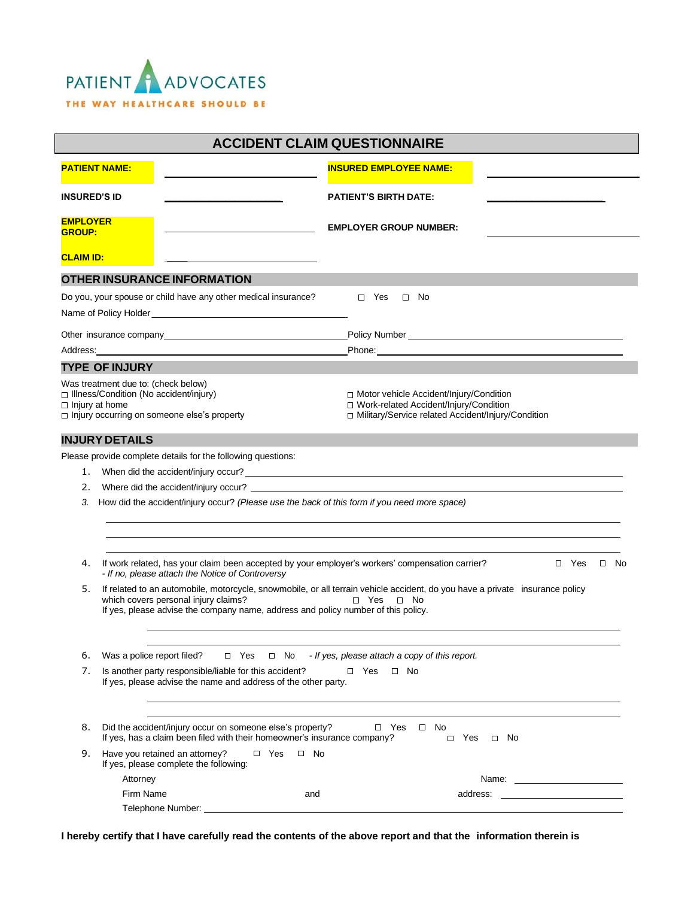

| <b>ACCIDENT CLAIM QUESTIONNAIRE</b>                                                                                                                                                                                                                                       |                                                                                                                                                                                           |                                                                                                                                               |                                 |  |
|---------------------------------------------------------------------------------------------------------------------------------------------------------------------------------------------------------------------------------------------------------------------------|-------------------------------------------------------------------------------------------------------------------------------------------------------------------------------------------|-----------------------------------------------------------------------------------------------------------------------------------------------|---------------------------------|--|
|                                                                                                                                                                                                                                                                           | <b>PATIENT NAME:</b>                                                                                                                                                                      | <b>INSURED EMPLOYEE NAME:</b>                                                                                                                 |                                 |  |
| <b>INSURED'S ID</b>                                                                                                                                                                                                                                                       |                                                                                                                                                                                           | <b>PATIENT'S BIRTH DATE:</b>                                                                                                                  |                                 |  |
| <b>EMPLOYER</b><br><b>GROUP:</b>                                                                                                                                                                                                                                          |                                                                                                                                                                                           | <b>EMPLOYER GROUP NUMBER:</b>                                                                                                                 |                                 |  |
| <b>CLAIM ID:</b>                                                                                                                                                                                                                                                          |                                                                                                                                                                                           |                                                                                                                                               |                                 |  |
|                                                                                                                                                                                                                                                                           | OTHER INSURANCE INFORMATION                                                                                                                                                               |                                                                                                                                               |                                 |  |
|                                                                                                                                                                                                                                                                           | Do you, your spouse or child have any other medical insurance?                                                                                                                            | $\Box$ Yes<br>$\Box$ No                                                                                                                       |                                 |  |
|                                                                                                                                                                                                                                                                           |                                                                                                                                                                                           |                                                                                                                                               |                                 |  |
|                                                                                                                                                                                                                                                                           |                                                                                                                                                                                           |                                                                                                                                               |                                 |  |
|                                                                                                                                                                                                                                                                           |                                                                                                                                                                                           |                                                                                                                                               | Policy Number <u>experience</u> |  |
| Phone: <u>_________________________</u><br>Address: Analysis and the contract of the contract of the contract of the contract of the contract of the contract of the contract of the contract of the contract of the contract of the contract of the contract of the cont |                                                                                                                                                                                           |                                                                                                                                               |                                 |  |
|                                                                                                                                                                                                                                                                           | <b>TYPE OF INJURY</b>                                                                                                                                                                     |                                                                                                                                               |                                 |  |
| Was treatment due to: (check below)<br>□ Illness/Condition (No accident/injury)<br>$\Box$ Injury at home<br>□ Injury occurring on someone else's property                                                                                                                 |                                                                                                                                                                                           | □ Motor vehicle Accident/Injury/Condition<br>□ Work-related Accident/Injury/Condition<br>□ Military/Service related Accident/Injury/Condition |                                 |  |
|                                                                                                                                                                                                                                                                           | <b>INJURY DETAILS</b>                                                                                                                                                                     |                                                                                                                                               |                                 |  |
|                                                                                                                                                                                                                                                                           | Please provide complete details for the following questions:                                                                                                                              |                                                                                                                                               |                                 |  |
| 1.                                                                                                                                                                                                                                                                        |                                                                                                                                                                                           |                                                                                                                                               |                                 |  |
| 2.                                                                                                                                                                                                                                                                        | Where did the accident/injury occur?                                                                                                                                                      |                                                                                                                                               |                                 |  |
| How did the accident/injury occur? (Please use the back of this form if you need more space)<br>3.                                                                                                                                                                        |                                                                                                                                                                                           |                                                                                                                                               |                                 |  |
|                                                                                                                                                                                                                                                                           |                                                                                                                                                                                           |                                                                                                                                               |                                 |  |
|                                                                                                                                                                                                                                                                           |                                                                                                                                                                                           |                                                                                                                                               |                                 |  |
|                                                                                                                                                                                                                                                                           |                                                                                                                                                                                           |                                                                                                                                               |                                 |  |
| 4.                                                                                                                                                                                                                                                                        | If work related, has your claim been accepted by your employer's workers' compensation carrier?<br>$\Box$ Yes<br>$\Box$ No<br>- If no, please attach the Notice of Controversy            |                                                                                                                                               |                                 |  |
| 5.                                                                                                                                                                                                                                                                        | If related to an automobile, motorcycle, snowmobile, or all terrain vehicle accident, do you have a private insurance policy<br>which covers personal injury claims?<br>□ Yes □ No        |                                                                                                                                               |                                 |  |
|                                                                                                                                                                                                                                                                           | If yes, please advise the company name, address and policy number of this policy.                                                                                                         |                                                                                                                                               |                                 |  |
| 6.                                                                                                                                                                                                                                                                        | - If yes, please attach a copy of this report.<br>Was a police report filed?<br>$\Box$ Yes<br>$\Box$ No                                                                                   |                                                                                                                                               |                                 |  |
| 7.                                                                                                                                                                                                                                                                        | Is another party responsible/liable for this accident?<br>$\Box$ Yes<br>$\Box$ No                                                                                                         |                                                                                                                                               |                                 |  |
|                                                                                                                                                                                                                                                                           | If yes, please advise the name and address of the other party.                                                                                                                            |                                                                                                                                               |                                 |  |
| 8.                                                                                                                                                                                                                                                                        | Did the accident/injury occur on someone else's property?<br>$\Box$ Yes<br>No<br>$\Box$<br>If yes, has a claim been filed with their homeowner's insurance company?<br>□ Yes<br>$\Box$ No |                                                                                                                                               |                                 |  |
| 9.                                                                                                                                                                                                                                                                        | Have you retained an attorney?<br>$\Box$ Yes<br>If yes, please complete the following:                                                                                                    | $\Box$ No                                                                                                                                     |                                 |  |
|                                                                                                                                                                                                                                                                           | Attorney                                                                                                                                                                                  |                                                                                                                                               | Name: _________________________ |  |
|                                                                                                                                                                                                                                                                           | Firm Name                                                                                                                                                                                 | and                                                                                                                                           | address:                        |  |
|                                                                                                                                                                                                                                                                           | Telephone Number:                                                                                                                                                                         |                                                                                                                                               |                                 |  |

**I hereby certify that I have carefully read the contents of the above report and that the information therein is**